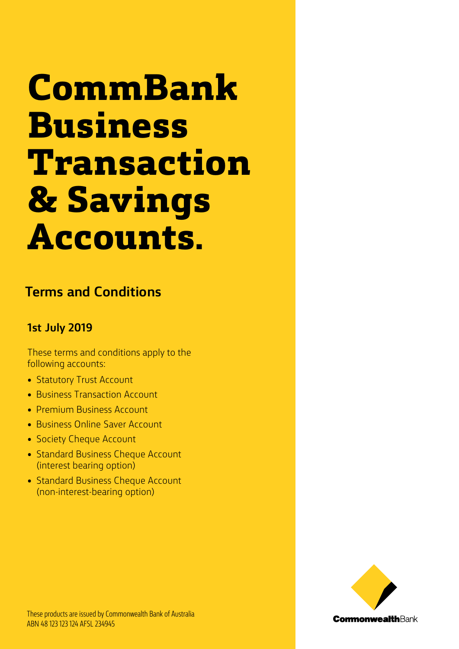# **CommBank Business Transaction & Savings Accounts.**

# **Terms and Conditions**

### **1st July 2019**

These terms and conditions apply to the following accounts:

- Statutory Trust Account
- Business Transaction Account
- Premium Business Account
- Business Online Saver Account
- Society Cheque Account
- Standard Business Cheque Account (interest bearing option)
- Standard Business Cheque Account (non-interest-bearing option)

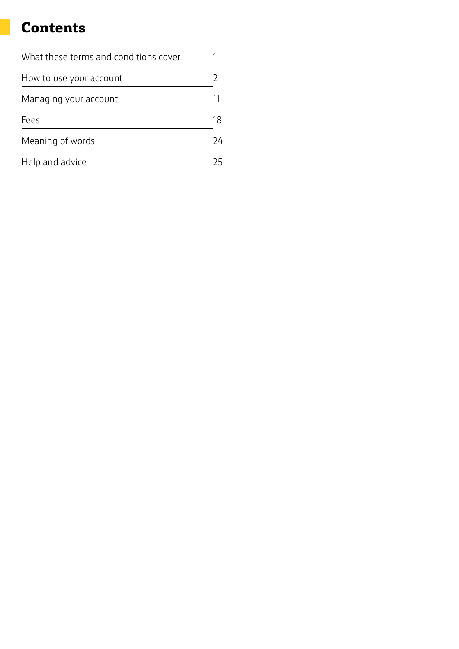# **Contents**

| What these terms and conditions cover |    |
|---------------------------------------|----|
| How to use your account               |    |
| Managing your account                 |    |
| Fees                                  | 18 |
| Meaning of words                      | 24 |
| Help and advice                       | 25 |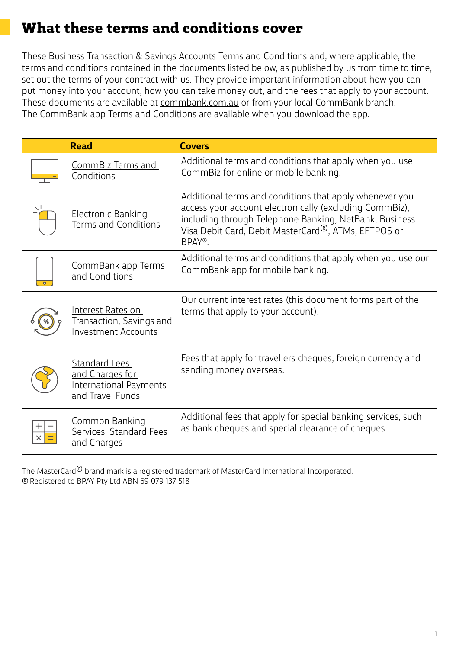# **What these terms and conditions cover**

These Business Transaction & Savings Accounts Terms and Conditions and, where applicable, the terms and conditions contained in the documents listed below, as published by us from time to time, set out the terms of your contract with us. They provide important information about how you can put money into your account, how you can take money out, and the fees that apply to your account. These documents are available at [commbank.com.au](www.CommBank.com.au) or from your local CommBank branch. The CommBank app Terms and Conditions are available when you download the app.

| <b>Read</b>                                                                           | <b>Covers</b>                                                                                                                                                                                                                                              |
|---------------------------------------------------------------------------------------|------------------------------------------------------------------------------------------------------------------------------------------------------------------------------------------------------------------------------------------------------------|
| CommBiz Terms and<br>Conditions                                                       | Additional terms and conditions that apply when you use<br>CommBiz for online or mobile banking.                                                                                                                                                           |
| <b>Electronic Banking</b><br>Terms and Conditions                                     | Additional terms and conditions that apply whenever you<br>access your account electronically (excluding CommBiz),<br>including through Telephone Banking, NetBank, Business<br>Visa Debit Card, Debit MasterCard <sup>®</sup> , ATMs, EFTPOS or<br>BPAY®. |
| CommBank app Terms<br>and Conditions                                                  | Additional terms and conditions that apply when you use our<br>CommBank app for mobile banking.                                                                                                                                                            |
| Interest Rates on<br>Transaction, Savings and<br><b>Investment Accounts</b>           | Our current interest rates (this document forms part of the<br>terms that apply to your account).                                                                                                                                                          |
| <b>Standard Fees</b><br>and Charges for<br>International Payments<br>and Travel Funds | Fees that apply for travellers cheques, foreign currency and<br>sending money overseas.                                                                                                                                                                    |
| <b>Common Banking</b><br>Services: Standard Fees<br>and Charges                       | Additional fees that apply for special banking services, such<br>as bank cheques and special clearance of cheques.                                                                                                                                         |

The MasterCard<sup>®</sup> brand mark is a registered trademark of MasterCard International Incorporated. ® Registered to BPAY Pty Ltd ABN 69 079 137 518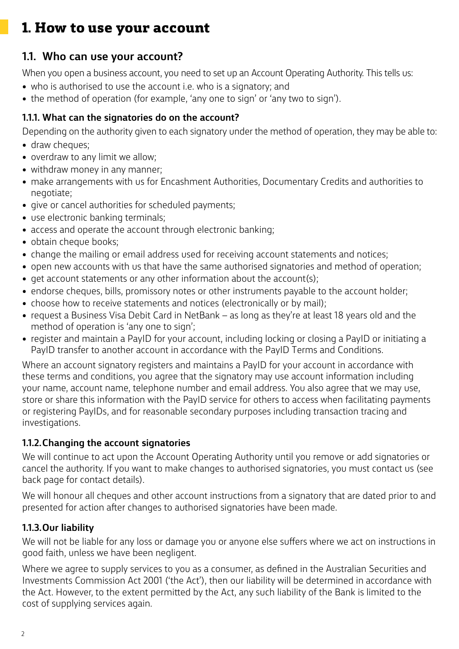# **1.1. Who can use your account?**

When you open a business account, you need to set up an Account Operating Authority. This tells us:

- who is authorised to use the account i.e. who is a signatory; and
- the method of operation (for example, 'any one to sign' or 'any two to sign').

### **1.1.1. What can the signatories do on the account?**

Depending on the authority given to each signatory under the method of operation, they may be able to:

- draw cheques:
- overdraw to any limit we allow;
- withdraw money in any manner;
- make arrangements with us for Encashment Authorities, Documentary Credits and authorities to negotiate;
- give or cancel authorities for scheduled payments;
- use electronic banking terminals;
- access and operate the account through electronic banking;
- obtain cheque books:
- change the mailing or email address used for receiving account statements and notices;
- open new accounts with us that have the same authorised signatories and method of operation;
- get account statements or any other information about the account(s);
- endorse cheques, bills, promissory notes or other instruments payable to the account holder;
- choose how to receive statements and notices (electronically or by mail);
- request a Business Visa Debit Card in NetBank as long as they're at least 18 years old and the method of operation is 'any one to sign';
- register and maintain a PayID for your account, including locking or closing a PayID or initiating a PayID transfer to another account in accordance with the PayID Terms and Conditions.

Where an account signatory registers and maintains a PayID for your account in accordance with these terms and conditions, you agree that the signatory may use account information including your name, account name, telephone number and email address. You also agree that we may use, store or share this information with the PayID service for others to access when facilitating payments or registering PayIDs, and for reasonable secondary purposes including transaction tracing and investigations.

### **1.1.2.Changing the account signatories**

We will continue to act upon the Account Operating Authority until you remove or add signatories or cancel the authority. If you want to make changes to authorised signatories, you must contact us (see back page for contact details).

We will honour all cheques and other account instructions from a signatory that are dated prior to and presented for action after changes to authorised signatories have been made.

# **1.1.3.Our liability**

We will not be liable for any loss or damage you or anyone else suffers where we act on instructions in good faith, unless we have been negligent.

Where we agree to supply services to you as a consumer, as defined in the Australian Securities and Investments Commission Act 2001 ('the Act'), then our liability will be determined in accordance with the Act. However, to the extent permitted by the Act, any such liability of the Bank is limited to the cost of supplying services again.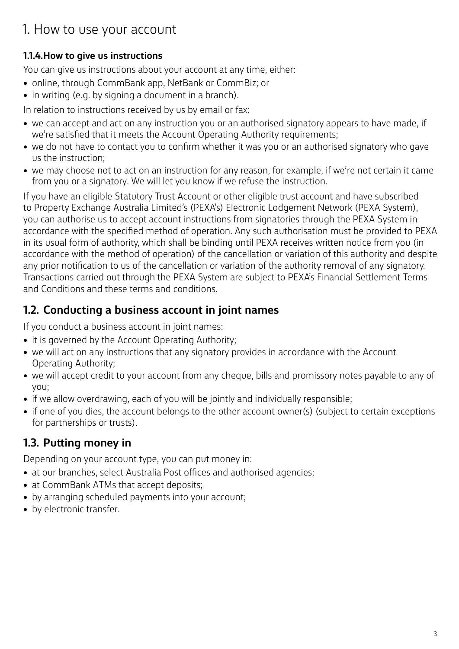### **1.1.4.How to give us instructions**

You can give us instructions about your account at any time, either:

- online, through CommBank app, NetBank or CommBiz; or
- in writing (e.g. by signing a document in a branch).

In relation to instructions received by us by email or fax:

- we can accept and act on any instruction you or an authorised signatory appears to have made, if we're satisfied that it meets the Account Operating Authority requirements;
- we do not have to contact you to confirm whether it was you or an authorised signatory who gave us the instruction;
- we may choose not to act on an instruction for any reason, for example, if we're not certain it came from you or a signatory. We will let you know if we refuse the instruction.

If you have an eligible Statutory Trust Account or other eligible trust account and have subscribed to Property Exchange Australia Limited's (PEXA's) Electronic Lodgement Network (PEXA System), you can authorise us to accept account instructions from signatories through the PEXA System in accordance with the specified method of operation. Any such authorisation must be provided to PEXA in its usual form of authority, which shall be binding until PEXA receives written notice from you (in accordance with the method of operation) of the cancellation or variation of this authority and despite any prior notification to us of the cancellation or variation of the authority removal of any signatory. Transactions carried out through the PEXA System are subject to PEXA's Financial Settlement Terms and Conditions and these terms and conditions.

# **1.2. Conducting a business account in joint names**

If you conduct a business account in joint names:

- it is governed by the Account Operating Authority;
- we will act on any instructions that any signatory provides in accordance with the Account Operating Authority;
- we will accept credit to your account from any cheque, bills and promissory notes payable to any of you;
- if we allow overdrawing, each of you will be jointly and individually responsible;
- if one of you dies, the account belongs to the other account owner(s) (subject to certain exceptions for partnerships or trusts).

# **1.3. Putting money in**

Depending on your account type, you can put money in:

- at our branches, select Australia Post offices and authorised agencies;
- at CommBank ATMs that accept deposits;
- by arranging scheduled payments into your account;
- by electronic transfer.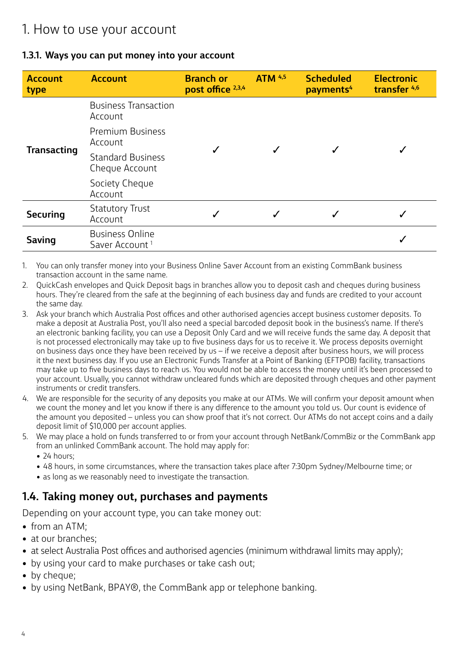#### **1.3.1. Ways you can put money into your account**

| <b>Account</b><br>type | <b>Account</b>                                       | <b>Branch or</b><br>post office 2,3,4 | <b>ATM 4,5</b> | <b>Scheduled</b><br>payments <sup>4</sup> | <b>Electronic</b><br>transfer <sup>4,6</sup> |
|------------------------|------------------------------------------------------|---------------------------------------|----------------|-------------------------------------------|----------------------------------------------|
|                        | <b>Business Transaction</b><br>Account               |                                       |                |                                           |                                              |
|                        | <b>Premium Business</b><br>Account                   |                                       |                |                                           |                                              |
| <b>Transacting</b>     | <b>Standard Business</b><br>Cheque Account           |                                       |                |                                           |                                              |
|                        | Society Cheque<br>Account                            |                                       |                |                                           |                                              |
| <b>Securing</b>        | <b>Statutory Trust</b><br>Account                    | ✓                                     |                |                                           |                                              |
| <b>Saving</b>          | <b>Business Online</b><br>Saver Account <sup>1</sup> |                                       |                |                                           |                                              |

- 1. You can only transfer money into your Business Online Saver Account from an existing CommBank business transaction account in the same name.
- 2. QuickCash envelopes and Quick Deposit bags in branches allow you to deposit cash and cheques during business hours. They're cleared from the safe at the beginning of each business day and funds are credited to your account the same day.
- 3. Ask your branch which Australia Post offices and other authorised agencies accept business customer deposits. To make a deposit at Australia Post, you'll also need a special barcoded deposit book in the business's name. If there's an electronic banking facility, you can use a Deposit Only Card and we will receive funds the same day. A deposit that is not processed electronically may take up to five business days for us to receive it. We process deposits overnight on business days once they have been received by us – if we receive a deposit after business hours, we will process it the next business day. If you use an Electronic Funds Transfer at a Point of Banking (EFTPOB) facility, transactions may take up to five business days to reach us. You would not be able to access the money until it's been processed to your account. Usually, you cannot withdraw uncleared funds which are deposited through cheques and other payment instruments or credit transfers.
- 4. We are responsible for the security of any deposits you make at our ATMs. We will confirm your deposit amount when we count the money and let you know if there is any difference to the amount you told us. Our count is evidence of the amount you deposited – unless you can show proof that it's not correct. Our ATMs do not accept coins and a daily deposit limit of \$10,000 per account applies.
- 5. We may place a hold on funds transferred to or from your account through NetBank/CommBiz or the CommBank app from an unlinked CommBank account. The hold may apply for:
	- 24 hours:
	- 48 hours, in some circumstances, where the transaction takes place after 7:30pm Sydney/Melbourne time; or
	- as long as we reasonably need to investigate the transaction.

### **1.4. Taking money out, purchases and payments**

Depending on your account type, you can take money out:

- from an ATM;
- at our branches:
- at select Australia Post offices and authorised agencies (minimum withdrawal limits may apply);
- by using your card to make purchases or take cash out;
- by cheaue:
- by using NetBank, BPAY®, the CommBank app or telephone banking.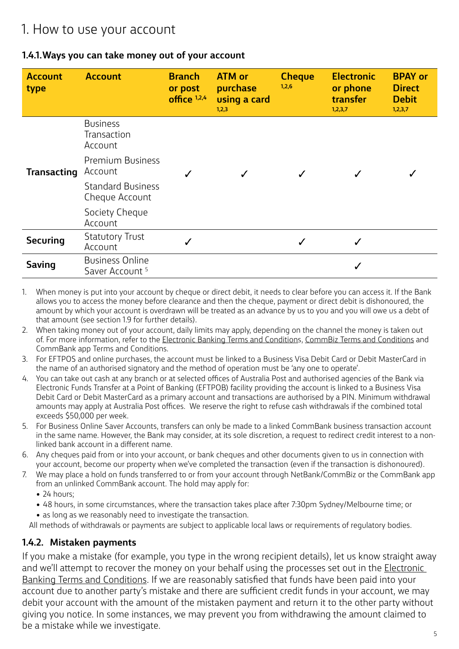#### **1.4.1.Ways you can take money out of your account**

| <b>Account</b><br>type | <b>Account</b>                                       | <b>Branch</b><br>or post<br>office $1,2,4$ | <b>ATM or</b><br>purchase<br>using a card<br>1,2,3 | <b>Cheque</b><br>1,2,6 | <b>Electronic</b><br>or phone<br>transfer<br>1,2,3,7 | <b>BPAY or</b><br><b>Direct</b><br><b>Debit</b><br>1,2,3,7 |
|------------------------|------------------------------------------------------|--------------------------------------------|----------------------------------------------------|------------------------|------------------------------------------------------|------------------------------------------------------------|
|                        | <b>Business</b><br>Transaction<br>Account            |                                            |                                                    |                        |                                                      |                                                            |
| <b>Transacting</b>     | <b>Premium Business</b><br>Account                   |                                            |                                                    |                        |                                                      |                                                            |
|                        | <b>Standard Business</b><br>Cheque Account           |                                            |                                                    |                        |                                                      |                                                            |
|                        | Society Cheque<br>Account                            |                                            |                                                    |                        |                                                      |                                                            |
| <b>Securing</b>        | <b>Statutory Trust</b><br>Account                    |                                            |                                                    | ✓                      |                                                      |                                                            |
| <b>Saving</b>          | <b>Business Online</b><br>Saver Account <sup>5</sup> |                                            |                                                    |                        |                                                      |                                                            |

- 1. When money is put into your account by cheque or direct debit, it needs to clear before you can access it. If the Bank allows you to access the money before clearance and then the cheque, payment or direct debit is dishonoured, the amount by which your account is overdrawn will be treated as an advance by us to you and you will owe us a debt of that amount (see section 1.9 for further details).
- 2. When taking money out of your account, daily limits may apply, depending on the channel the money is taken out of. For more information, refer to the [Electronic Banking Terms and Conditions,](https://www.commbank.com.au/personal/apply-online/download-printed-forms/ElectronicBanking_ADB2426.pdf) [CommBiz Terms and Conditions](https://www.commbank.com.au/content/dam/commbank/business/pds/004-634.PDF) and CommBank app Terms and Conditions.
- 3. For EFTPOS and online purchases, the account must be linked to a Business Visa Debit Card or Debit MasterCard in the name of an authorised signatory and the method of operation must be 'any one to operate'.
- 4. You can take out cash at any branch or at selected offices of Australia Post and authorised agencies of the Bank via Electronic Funds Transfer at a Point of Banking (EFTPOB) facility providing the account is linked to a Business Visa Debit Card or Debit MasterCard as a primary account and transactions are authorised by a PIN. Minimum withdrawal amounts may apply at Australia Post offices. We reserve the right to refuse cash withdrawals if the combined total exceeds \$50,000 per week.
- 5. For Business Online Saver Accounts, transfers can only be made to a linked CommBank business transaction account in the same name. However, the Bank may consider, at its sole discretion, a request to redirect credit interest to a nonlinked bank account in a different name.
- 6. Any cheques paid from or into your account, or bank cheques and other documents given to us in connection with your account, become our property when we've completed the transaction (even if the transaction is dishonoured).
- 7. We may place a hold on funds transferred to or from your account through NetBank/CommBiz or the CommBank app from an unlinked CommBank account. The hold may apply for:
	- 24 hours:
	- 48 hours, in some circumstances, where the transaction takes place after 7:30pm Sydney/Melbourne time; or • as long as we reasonably need to investigate the transaction.

All methods of withdrawals or payments are subject to applicable local laws or requirements of regulatory bodies.

#### **1.4.2. Mistaken payments**

If you make a mistake (for example, you type in the wrong recipient details), let us know straight away and we'll attempt to recover the money on your behalf using the processes set out in the *Electronic* [Banking Terms and Conditions](https://www.commbank.com.au/personal/apply-online/download-printed-forms/ElectronicBanking_ADB2426.pdf). If we are reasonably satisfied that funds have been paid into your account due to another party's mistake and there are sufficient credit funds in your account, we may debit your account with the amount of the mistaken payment and return it to the other party without giving you notice. In some instances, we may prevent you from withdrawing the amount claimed to be a mistake while we investigate.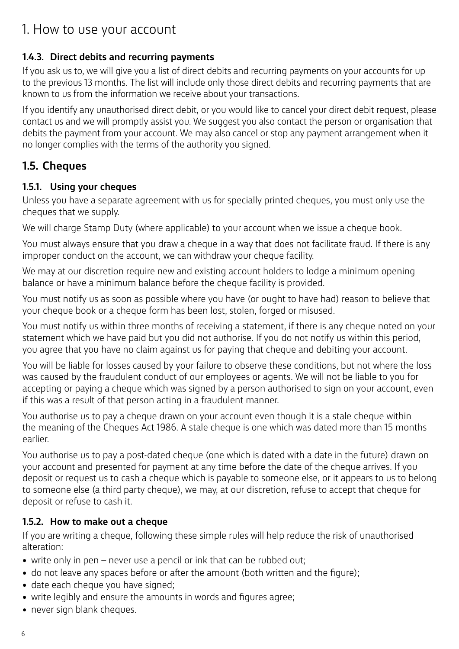#### **1.4.3. Direct debits and recurring payments**

If you ask us to, we will give you a list of direct debits and recurring payments on your accounts for up to the previous 13 months. The list will include only those direct debits and recurring payments that are known to us from the information we receive about your transactions.

If you identify any unauthorised direct debit, or you would like to cancel your direct debit request, please contact us and we will promptly assist you. We suggest you also contact the person or organisation that debits the payment from your account. We may also cancel or stop any payment arrangement when it no longer complies with the terms of the authority you signed.

### **1.5. Cheques**

#### **1.5.1. Using your cheques**

Unless you have a separate agreement with us for specially printed cheques, you must only use the cheques that we supply.

We will charge Stamp Duty (where applicable) to your account when we issue a cheque book.

You must always ensure that you draw a cheque in a way that does not facilitate fraud. If there is any improper conduct on the account, we can withdraw your cheque facility.

We may at our discretion require new and existing account holders to lodge a minimum opening balance or have a minimum balance before the cheque facility is provided.

You must notify us as soon as possible where you have (or ought to have had) reason to believe that your cheque book or a cheque form has been lost, stolen, forged or misused.

You must notify us within three months of receiving a statement, if there is any cheque noted on your statement which we have paid but you did not authorise. If you do not notify us within this period, you agree that you have no claim against us for paying that cheque and debiting your account.

You will be liable for losses caused by your failure to observe these conditions, but not where the loss was caused by the fraudulent conduct of our employees or agents. We will not be liable to you for accepting or paying a cheque which was signed by a person authorised to sign on your account, even if this was a result of that person acting in a fraudulent manner.

You authorise us to pay a cheque drawn on your account even though it is a stale cheque within the meaning of the Cheques Act 1986. A stale cheque is one which was dated more than 15 months earlier.

You authorise us to pay a post-dated cheque (one which is dated with a date in the future) drawn on your account and presented for payment at any time before the date of the cheque arrives. If you deposit or request us to cash a cheque which is payable to someone else, or it appears to us to belong to someone else (a third party cheque), we may, at our discretion, refuse to accept that cheque for deposit or refuse to cash it.

#### **1.5.2. How to make out a cheque**

If you are writing a cheque, following these simple rules will help reduce the risk of unauthorised alteration:

- write only in pen never use a pencil or ink that can be rubbed out;
- do not leave any spaces before or after the amount (both written and the figure);
- date each cheque you have signed;
- write legibly and ensure the amounts in words and figures agree;
- never sign blank cheques.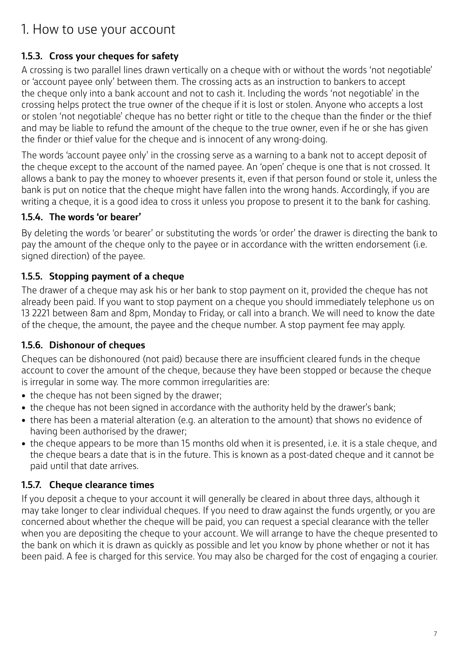### **1.5.3. Cross your cheques for safety**

A crossing is two parallel lines drawn vertically on a cheque with or without the words 'not negotiable' or 'account payee only' between them. The crossing acts as an instruction to bankers to accept the cheque only into a bank account and not to cash it. Including the words 'not negotiable' in the crossing helps protect the true owner of the cheque if it is lost or stolen. Anyone who accepts a lost or stolen 'not negotiable' cheque has no better right or title to the cheque than the finder or the thief and may be liable to refund the amount of the cheque to the true owner, even if he or she has given the finder or thief value for the cheque and is innocent of any wrong-doing.

The words 'account payee only' in the crossing serve as a warning to a bank not to accept deposit of the cheque except to the account of the named payee. An 'open' cheque is one that is not crossed. It allows a bank to pay the money to whoever presents it, even if that person found or stole it, unless the bank is put on notice that the cheque might have fallen into the wrong hands. Accordingly, if you are writing a cheque, it is a good idea to cross it unless you propose to present it to the bank for cashing.

#### **1.5.4. The words 'or bearer'**

By deleting the words 'or bearer' or substituting the words 'or order' the drawer is directing the bank to pay the amount of the cheque only to the payee or in accordance with the written endorsement (i.e. signed direction) of the payee.

### **1.5.5. Stopping payment of a cheque**

The drawer of a cheque may ask his or her bank to stop payment on it, provided the cheque has not already been paid. If you want to stop payment on a cheque you should immediately telephone us on 13 2221 between 8am and 8pm, Monday to Friday, or call into a branch. We will need to know the date of the cheque, the amount, the payee and the cheque number. A stop payment fee may apply.

### **1.5.6. Dishonour of cheques**

Cheques can be dishonoured (not paid) because there are insufficient cleared funds in the cheque account to cover the amount of the cheque, because they have been stopped or because the cheque is irregular in some way. The more common irregularities are:

- the cheque has not been signed by the drawer;
- the cheque has not been signed in accordance with the authority held by the drawer's bank;
- there has been a material alteration (e.g. an alteration to the amount) that shows no evidence of having been authorised by the drawer;
- the cheque appears to be more than 15 months old when it is presented, i.e. it is a stale cheque, and the cheque bears a date that is in the future. This is known as a post-dated cheque and it cannot be paid until that date arrives.

### **1.5.7. Cheque clearance times**

If you deposit a cheque to your account it will generally be cleared in about three days, although it may take longer to clear individual cheques. If you need to draw against the funds urgently, or you are concerned about whether the cheque will be paid, you can request a special clearance with the teller when you are depositing the cheque to your account. We will arrange to have the cheque presented to the bank on which it is drawn as quickly as possible and let you know by phone whether or not it has been paid. A fee is charged for this service. You may also be charged for the cost of engaging a courier.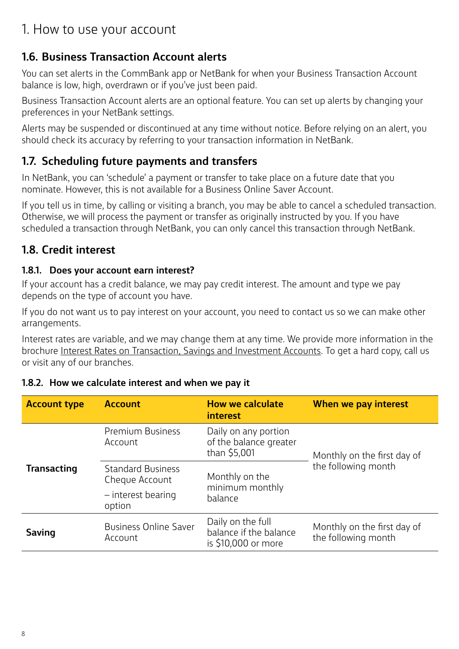# **1.6. Business Transaction Account alerts**

You can set alerts in the CommBank app or NetBank for when your Business Transaction Account balance is low, high, overdrawn or if you've just been paid.

Business Transaction Account alerts are an optional feature. You can set up alerts by changing your preferences in your NetBank settings.

Alerts may be suspended or discontinued at any time without notice. Before relying on an alert, you should check its accuracy by referring to your transaction information in NetBank.

### **1.7. Scheduling future payments and transfers**

In NetBank, you can 'schedule' a payment or transfer to take place on a future date that you nominate. However, this is not available for a Business Online Saver Account.

If you tell us in time, by calling or visiting a branch, you may be able to cancel a scheduled transaction. Otherwise, we will process the payment or transfer as originally instructed by you. If you have scheduled a transaction through NetBank, you can only cancel this transaction through NetBank.

### **1.8. Credit interest**

#### **1.8.1. Does your account earn interest?**

If your account has a credit balance, we may pay credit interest. The amount and type we pay depends on the type of account you have.

If you do not want us to pay interest on your account, you need to contact us so we can make other arrangements.

Interest rates are variable, and we may change them at any time. We provide more information in the brochure [Interest Rates on Transaction, Savings and Investment Accounts](https://www.commbank.com.au/personal/apply-online/download-printed-forms/TSI_interest_rates.pdf). To get a hard copy, call us or visit any of our branches.

#### **Account type Account How we calculate interest When we pay interest Transacting** Premium Business Account Daily on any portion of the balance greater than \$5,001 Monthly on the first day of Standard Business Standard Business the following month Cheque Account – interest bearing option Monthly on the minimum monthly balance **Saving** Business Online Saver Account Daily on the full balance if the balance is \$10,000 or more Monthly on the first day of the following month

#### **1.8.2. How we calculate interest and when we pay it**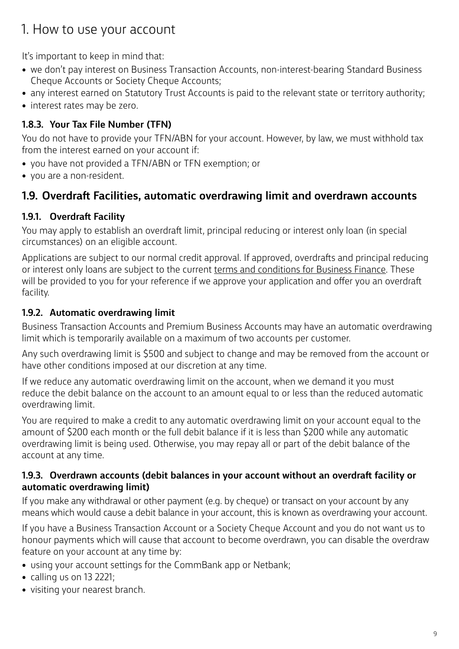It's important to keep in mind that:

- we don't pay interest on Business Transaction Accounts, non-interest-bearing Standard Business Cheque Accounts or Society Cheque Accounts;
- any interest earned on Statutory Trust Accounts is paid to the relevant state or territory authority;
- interest rates may be zero.

### **1.8.3. Your Tax File Number (TFN)**

You do not have to provide your TFN/ABN for your account. However, by law, we must withhold tax from the interest earned on your account if:

- you have not provided a TFN/ABN or TFN exemption; or
- you are a non-resident.

# **1.9. Overdraft Facilities, automatic overdrawing limit and overdrawn accounts**

### **1.9.1. Overdraft Facility**

You may apply to establish an overdraft limit, principal reducing or interest only loan (in special circumstances) on an eligible account.

Applications are subject to our normal credit approval. If approved, overdrafts and principal reducing or interest only loans are subject to the current [terms and conditions for Business Finance](https://www.commbank.com.au/content/dam/commbank-assets/business/banking/2018-03/ctc-business-finance.pdf). These will be provided to you for your reference if we approve your application and offer you an overdraft facility.

#### **1.9.2. Automatic overdrawing limit**

Business Transaction Accounts and Premium Business Accounts may have an automatic overdrawing limit which is temporarily available on a maximum of two accounts per customer.

Any such overdrawing limit is \$500 and subject to change and may be removed from the account or have other conditions imposed at our discretion at any time.

If we reduce any automatic overdrawing limit on the account, when we demand it you must reduce the debit balance on the account to an amount equal to or less than the reduced automatic overdrawing limit.

You are required to make a credit to any automatic overdrawing limit on your account equal to the amount of \$200 each month or the full debit balance if it is less than \$200 while any automatic overdrawing limit is being used. Otherwise, you may repay all or part of the debit balance of the account at any time.

#### **1.9.3. Overdrawn accounts (debit balances in your account without an overdraft facility or automatic overdrawing limit)**

If you make any withdrawal or other payment (e.g. by cheque) or transact on your account by any means which would cause a debit balance in your account, this is known as overdrawing your account.

If you have a Business Transaction Account or a Society Cheque Account and you do not want us to honour payments which will cause that account to become overdrawn, you can disable the overdraw feature on your account at any time by:

- using your account settings for the CommBank app or Netbank;
- calling us on 13 2221;
- visiting your nearest branch.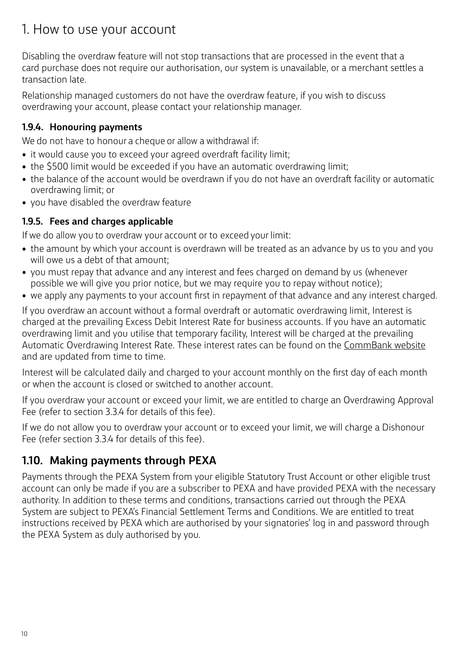Disabling the overdraw feature will not stop transactions that are processed in the event that a card purchase does not require our authorisation, our system is unavailable, or a merchant settles a transaction late.

Relationship managed customers do not have the overdraw feature, if you wish to discuss overdrawing your account, please contact your relationship manager.

#### **1.9.4. Honouring payments**

We do not have to honour a cheque or allow a withdrawal if:

- it would cause you to exceed your agreed overdraft facility limit;
- the \$500 limit would be exceeded if you have an automatic overdrawing limit;
- the balance of the account would be overdrawn if you do not have an overdraft facility or automatic overdrawing limit; or
- you have disabled the overdraw feature

#### **1.9.5. Fees and charges applicable**

If we do allow you to overdraw your account or to exceed your limit:

- the amount by which your account is overdrawn will be treated as an advance by us to you and you will owe us a debt of that amount;
- you must repay that advance and any interest and fees charged on demand by us (whenever possible we will give you prior notice, but we may require you to repay without notice);
- we apply any payments to your account first in repayment of that advance and any interest charged.

If you overdraw an account without a formal overdraft or automatic overdrawing limit, Interest is charged at the prevailing Excess Debit Interest Rate for business accounts. If you have an automatic overdrawing limit and you utilise that temporary facility, Interest will be charged at the prevailing Automatic Overdrawing Interest Rate. These interest rates can be found on the [CommBank website](https://www.commbank.com.au/business/rates-fees.html) and are updated from time to time.

Interest will be calculated daily and charged to your account monthly on the first day of each month or when the account is closed or switched to another account.

If you overdraw your account or exceed your limit, we are entitled to charge an Overdrawing Approval Fee (refer to section 3.3.4 for details of this fee).

If we do not allow you to overdraw your account or to exceed your limit, we will charge a Dishonour Fee (refer section 3.3.4 for details of this fee).

# **1.10. Making payments through PEXA**

Payments through the PEXA System from your eligible Statutory Trust Account or other eligible trust account can only be made if you are a subscriber to PEXA and have provided PEXA with the necessary authority. In addition to these terms and conditions, transactions carried out through the PEXA System are subject to PEXA's Financial Settlement Terms and Conditions. We are entitled to treat instructions received by PEXA which are authorised by your signatories' log in and password through the PEXA System as duly authorised by you.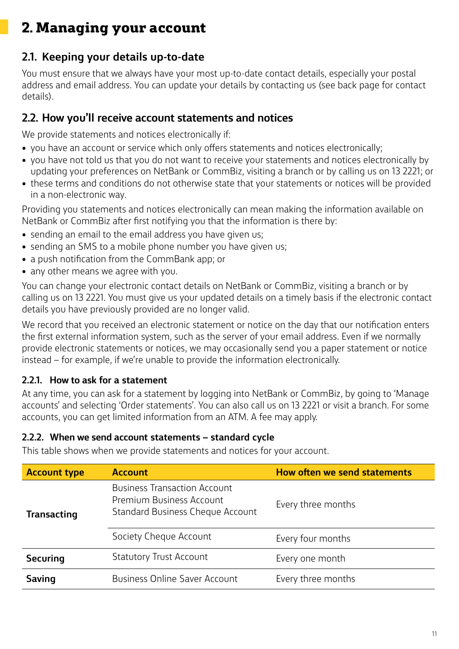# **2.1. Keeping your details up-to-date**

You must ensure that we always have your most up-to-date contact details, especially your postal address and email address. You can update your details by contacting us (see back page for contact details).

### **2.2. How you'll receive account statements and notices**

We provide statements and notices electronically if:

- you have an account or service which only offers statements and notices electronically;
- you have not told us that you do not want to receive your statements and notices electronically by updating your preferences on NetBank or CommBiz, visiting a branch or by calling us on 13 2221; or
- these terms and conditions do not otherwise state that your statements or notices will be provided in a non-electronic way.

Providing you statements and notices electronically can mean making the information available on NetBank or CommBiz after first notifying you that the information is there by:

- sending an email to the email address you have given us;
- sending an SMS to a mobile phone number you have given us;
- a push notification from the CommBank app; or
- any other means we agree with you.

You can change your electronic contact details on NetBank or CommBiz, visiting a branch or by calling us on 13 2221. You must give us your updated details on a timely basis if the electronic contact details you have previously provided are no longer valid.

We record that you received an electronic statement or notice on the day that our notification enters the first external information system, such as the server of your email address. Even if we normally provide electronic statements or notices, we may occasionally send you a paper statement or notice instead – for example, if we're unable to provide the information electronically.

#### **2.2.1. How to ask for a statement**

At any time, you can ask for a statement by logging into NetBank or CommBiz, by going to 'Manage accounts' and selecting 'Order statements'. You can also call us on 13 2221 or visit a branch. For some accounts, you can get limited information from an ATM. A fee may apply.

#### **2.2.2. When we send account statements – standard cycle**

This table shows when we provide statements and notices for your account.

| <b>Account type</b>                               | <b>Account</b>                                                                                             | How often we send statements |  |
|---------------------------------------------------|------------------------------------------------------------------------------------------------------------|------------------------------|--|
| <b>Transacting</b>                                | <b>Business Transaction Account</b><br>Premium Business Account<br><b>Standard Business Cheque Account</b> | Every three months           |  |
|                                                   | Society Cheque Account                                                                                     | Every four months            |  |
| <b>Statutory Trust Account</b><br><b>Securing</b> |                                                                                                            | Every one month              |  |
| Saving                                            | <b>Business Online Saver Account</b>                                                                       | Every three months           |  |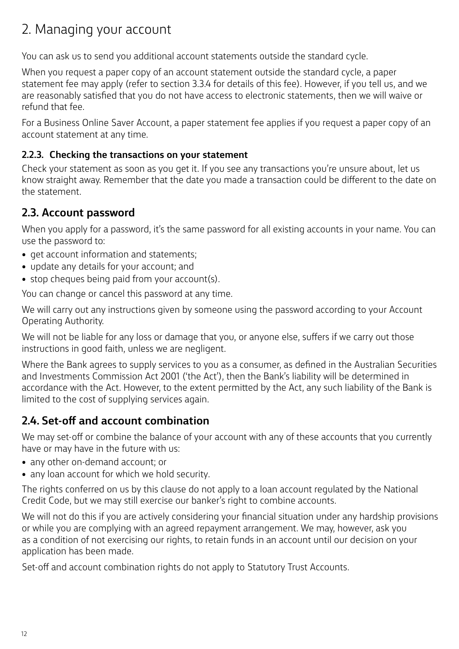You can ask us to send you additional account statements outside the standard cycle.

When you request a paper copy of an account statement outside the standard cycle, a paper statement fee may apply (refer to section 3.3.4 for details of this fee). However, if you tell us, and we are reasonably satisfied that you do not have access to electronic statements, then we will waive or refund that fee.

For a Business Online Saver Account, a paper statement fee applies if you request a paper copy of an account statement at any time.

#### **2.2.3. Checking the transactions on your statement**

Check your statement as soon as you get it. If you see any transactions you're unsure about, let us know straight away. Remember that the date you made a transaction could be different to the date on the statement.

# **2.3. Account password**

When you apply for a password, it's the same password for all existing accounts in your name. You can use the password to:

- get account information and statements;
- update any details for your account; and
- stop cheques being paid from your account(s).

You can change or cancel this password at any time.

We will carry out any instructions given by someone using the password according to your Account Operating Authority.

We will not be liable for any loss or damage that you, or anyone else, suffers if we carry out those instructions in good faith, unless we are negligent.

Where the Bank agrees to supply services to you as a consumer, as defined in the Australian Securities and Investments Commission Act 2001 ('the Act'), then the Bank's liability will be determined in accordance with the Act. However, to the extent permitted by the Act, any such liability of the Bank is limited to the cost of supplying services again.

### **2.4. Set-off and account combination**

We may set-off or combine the balance of your account with any of these accounts that you currently have or may have in the future with us:

- any other on-demand account; or
- any loan account for which we hold security.

The rights conferred on us by this clause do not apply to a loan account regulated by the National Credit Code, but we may still exercise our banker's right to combine accounts.

We will not do this if you are actively considering your financial situation under any hardship provisions or while you are complying with an agreed repayment arrangement. We may, however, ask you as a condition of not exercising our rights, to retain funds in an account until our decision on your application has been made.

Set-off and account combination rights do not apply to Statutory Trust Accounts.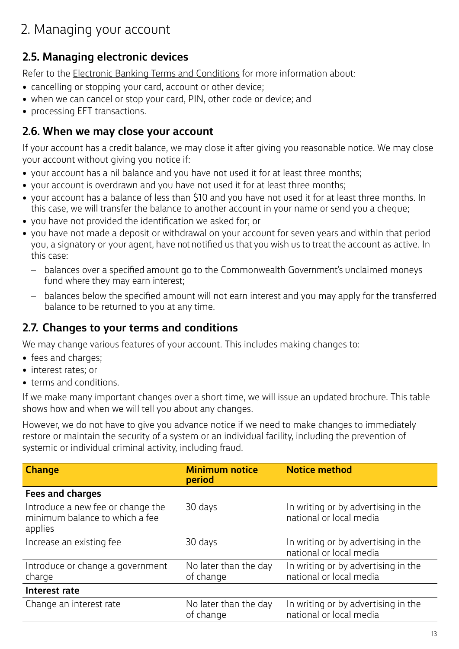# **2.5. Managing electronic devices**

Refer to the [Electronic Banking Terms and Conditions](https://www.commbank.com.au/personal/apply-online/download-printed-forms/ElectronicBanking_ADB2426.pdf) for more information about:

- cancelling or stopping your card, account or other device;
- when we can cancel or stop your card, PIN, other code or device; and
- processing EFT transactions.

### **2.6. When we may close your account**

If your account has a credit balance, we may close it after giving you reasonable notice. We may close your account without giving you notice if:

- your account has a nil balance and you have not used it for at least three months;
- your account is overdrawn and you have not used it for at least three months;
- your account has a balance of less than \$10 and you have not used it for at least three months. In this case, we will transfer the balance to another account in your name or send you a cheque;
- you have not provided the identification we asked for; or
- you have not made a deposit or withdrawal on your account for seven years and within that period you, a signatory or your agent, have not notified us that you wish us to treat the account as active. In this case:
	- balances over a specified amount go to the Commonwealth Government's unclaimed moneys fund where they may earn interest;
	- balances below the specified amount will not earn interest and you may apply for the transferred balance to be returned to you at any time.

### **2.7. Changes to your terms and conditions**

We may change various features of your account. This includes making changes to:

- fees and charges;
- interest rates; or
- terms and conditions.

If we make many important changes over a short time, we will issue an updated brochure. This table shows how and when we will tell you about any changes.

However, we do not have to give you advance notice if we need to make changes to immediately restore or maintain the security of a system or an individual facility, including the prevention of systemic or individual criminal activity, including fraud.

| <b>Change</b>                                                                  | <b>Minimum notice</b><br>period    | <b>Notice method</b>                                           |
|--------------------------------------------------------------------------------|------------------------------------|----------------------------------------------------------------|
| <b>Fees and charges</b>                                                        |                                    |                                                                |
| Introduce a new fee or change the<br>minimum balance to which a fee<br>applies | 30 days                            | In writing or by advertising in the<br>national or local media |
| Increase an existing fee                                                       | 30 days                            | In writing or by advertising in the<br>national or local media |
| Introduce or change a government<br>charge                                     | No later than the day<br>of change | In writing or by advertising in the<br>national or local media |
| Interest rate                                                                  |                                    |                                                                |
| Change an interest rate                                                        | No later than the day<br>of change | In writing or by advertising in the<br>national or local media |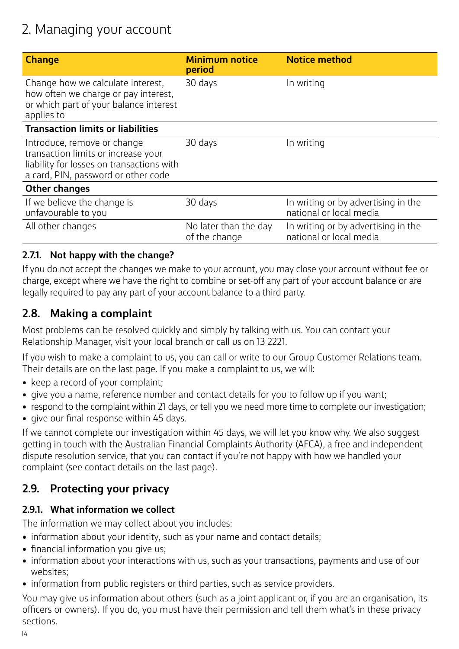| <b>Change</b>                                                                                                                                          | <b>Minimum notice</b><br>period        | <b>Notice method</b>                                           |
|--------------------------------------------------------------------------------------------------------------------------------------------------------|----------------------------------------|----------------------------------------------------------------|
| Change how we calculate interest,<br>how often we charge or pay interest,<br>or which part of your balance interest<br>applies to                      | 30 days                                | In writing                                                     |
| <b>Transaction limits or liabilities</b>                                                                                                               |                                        |                                                                |
| Introduce, remove or change<br>transaction limits or increase your<br>liability for losses on transactions with<br>a card, PIN, password or other code | 30 days                                | In writing                                                     |
| <b>Other changes</b>                                                                                                                                   |                                        |                                                                |
| If we believe the change is<br>unfavourable to you                                                                                                     | 30 days                                | In writing or by advertising in the<br>national or local media |
| All other changes                                                                                                                                      | No later than the day<br>of the change | In writing or by advertising in the<br>national or local media |

#### **2.7.1. Not happy with the change?**

If you do not accept the changes we make to your account, you may close your account without fee or charge, except where we have the right to combine or set-off any part of your account balance or are legally required to pay any part of your account balance to a third party.

### **2.8. Making a complaint**

Most problems can be resolved quickly and simply by talking with us. You can contact your Relationship Manager, visit your local branch or call us on 13 2221.

If you wish to make a complaint to us, you can call or write to our Group Customer Relations team. Their details are on the last page. If you make a complaint to us, we will:

- keep a record of your complaint;
- give you a name, reference number and contact details for you to follow up if you want;
- respond to the complaint within 21 days, or tell you we need more time to complete our investigation;
- give our final response within 45 days.

If we cannot complete our investigation within 45 days, we will let you know why. We also suggest getting in touch with the Australian Financial Complaints Authority (AFCA), a free and independent dispute resolution service, that you can contact if you're not happy with how we handled your complaint (see contact details on the last page).

### **2.9. Protecting your privacy**

#### **2.9.1. What information we collect**

The information we may collect about you includes:

- information about your identity, such as your name and contact details;
- financial information you give us;
- information about your interactions with us, such as your transactions, payments and use of our websites;
- information from public registers or third parties, such as service providers.

You may give us information about others (such as a joint applicant or, if you are an organisation, its officers or owners). If you do, you must have their permission and tell them what's in these privacy sections.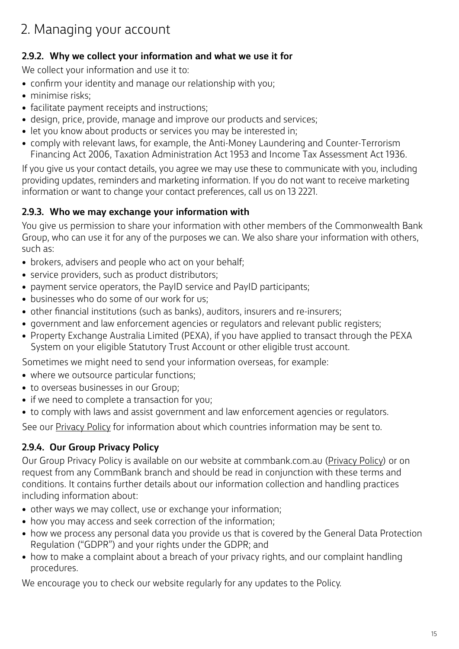#### **2.9.2. Why we collect your information and what we use it for**

We collect your information and use it to:

- confirm your identity and manage our relationship with you;
- minimise risks;
- facilitate payment receipts and instructions;
- design, price, provide, manage and improve our products and services;
- let you know about products or services you may be interested in;
- comply with relevant laws, for example, the Anti-Money Laundering and Counter-Terrorism Financing Act 2006, Taxation Administration Act 1953 and Income Tax Assessment Act 1936.

If you give us your contact details, you agree we may use these to communicate with you, including providing updates, reminders and marketing information. If you do not want to receive marketing information or want to change your contact preferences, call us on 13 2221.

#### **2.9.3. Who we may exchange your information with**

You give us permission to share your information with other members of the Commonwealth Bank Group, who can use it for any of the purposes we can. We also share your information with others, such as:

- brokers, advisers and people who act on your behalf;
- service providers, such as product distributors;
- payment service operators, the PayID service and PayID participants;
- businesses who do some of our work for us;
- other financial institutions (such as banks), auditors, insurers and re-insurers;
- government and law enforcement agencies or regulators and relevant public registers;
- Property Exchange Australia Limited (PEXA), if you have applied to transact through the PEXA System on your eligible Statutory Trust Account or other eligible trust account.

Sometimes we might need to send your information overseas, for example:

- where we outsource particular functions;
- to overseas businesses in our Group;
- if we need to complete a transaction for you;
- to comply with laws and assist government and law enforcement agencies or regulators.

See our [Privacy Policy](https://www.commbank.com.au/content/commbank-neo/security-privacy/general-security/privacy.html?ei=CB-footer_privacy) for information about which countries information may be sent to.

### **2.9.4. Our Group Privacy Policy**

Our Group Privacy Policy is available on our website at commbank.com.au ([Privacy Policy\)](https://www.commbank.com.au/content/commbank-neo/security-privacy/general-security/privacy.html?ei=CB-footer_privacy) or on request from any CommBank branch and should be read in conjunction with these terms and conditions. It contains further details about our information collection and handling practices including information about:

- other ways we may collect, use or exchange your information;
- how you may access and seek correction of the information;
- how we process any personal data you provide us that is covered by the General Data Protection Regulation ("GDPR") and your rights under the GDPR; and
- how to make a complaint about a breach of your privacy rights, and our complaint handling procedures.

We encourage you to check our website regularly for any updates to the Policy.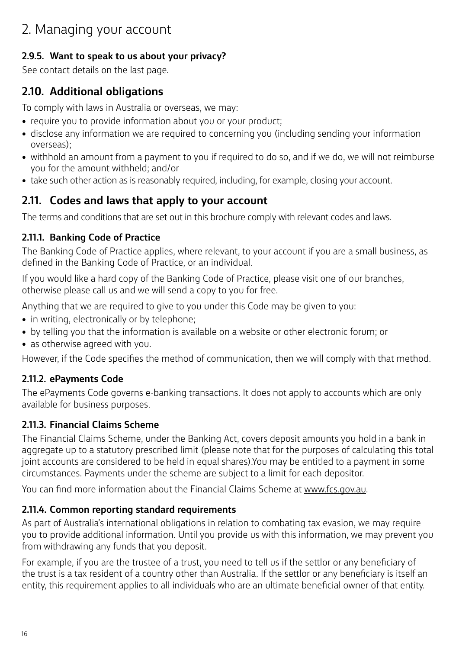#### **2.9.5. Want to speak to us about your privacy?**

See contact details on the last page.

# **2.10. Additional obligations**

To comply with laws in Australia or overseas, we may:

- require you to provide information about you or your product;
- disclose any information we are required to concerning you (including sending your information overseas);
- withhold an amount from a payment to you if required to do so, and if we do, we will not reimburse you for the amount withheld; and/or
- take such other action as is reasonably required, including, for example, closing your account.

### **2.11. Codes and laws that apply to your account**

The terms and conditions that are set out in this brochure comply with relevant codes and laws.

#### **2.11.1. Banking Code of Practice**

The Banking Code of Practice applies, where relevant, to your account if you are a small business, as defined in the Banking Code of Practice, or an individual.

If you would like a hard copy of the Banking Code of Practice, please visit one of our branches, otherwise please call us and we will send a copy to you for free.

Anything that we are required to give to you under this Code may be given to you:

- in writing, electronically or by telephone;
- by telling you that the information is available on a website or other electronic forum; or
- as otherwise agreed with you.

However, if the Code specifies the method of communication, then we will comply with that method.

### **2.11.2. ePayments Code**

The ePayments Code governs e-banking transactions. It does not apply to accounts which are only available for business purposes.

### **2.11.3. Financial Claims Scheme**

The Financial Claims Scheme, under the Banking Act, covers deposit amounts you hold in a bank in aggregate up to a statutory prescribed limit (please note that for the purposes of calculating this total joint accounts are considered to be held in equal shares).You may be entitled to a payment in some circumstances. Payments under the scheme are subject to a limit for each depositor.

You can find more information about the Financial Claims Scheme at [www.fcs.gov.au.](http://www.fcs.gov.au)

#### **2.11.4. Common reporting standard requirements**

As part of Australia's international obligations in relation to combating tax evasion, we may require you to provide additional information. Until you provide us with this information, we may prevent you from withdrawing any funds that you deposit.

For example, if you are the trustee of a trust, you need to tell us if the settlor or any beneficiary of the trust is a tax resident of a country other than Australia. If the settlor or any beneficiary is itself an entity, this requirement applies to all individuals who are an ultimate beneficial owner of that entity.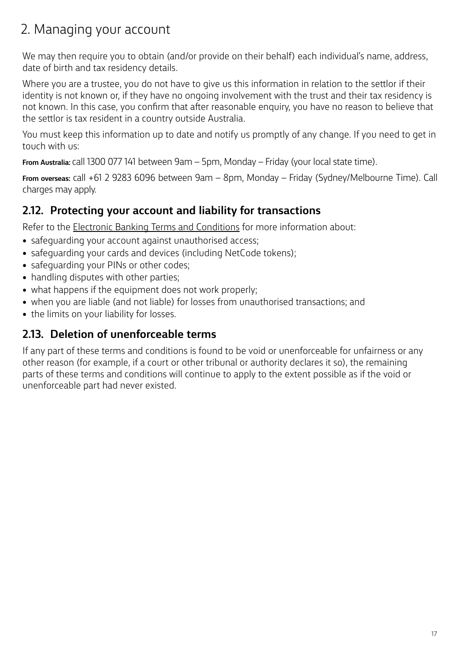We may then require you to obtain (and/or provide on their behalf) each individual's name, address, date of birth and tax residency details.

Where you are a trustee, you do not have to give us this information in relation to the settlor if their identity is not known or, if they have no ongoing involvement with the trust and their tax residency is not known. In this case, you confirm that after reasonable enquiry, you have no reason to believe that the settlor is tax resident in a country outside Australia.

You must keep this information up to date and notify us promptly of any change. If you need to get in touch with us:

**From Australia:** call 1300 077 141 between 9am – 5pm, Monday – Friday (your local state time).

**From overseas:** call +61 2 9283 6096 between 9am – 8pm, Monday – Friday (Sydney/Melbourne Time). Call charges may apply.

# **2.12. Protecting your account and liability for transactions**

Refer to the [Electronic Banking Terms and Conditions](https://www.commbank.com.au/personal/apply-online/download-printed-forms/ElectronicBanking_ADB2426.pdf) for more information about:

- safeguarding your account against unauthorised access;
- safeguarding your cards and devices (including NetCode tokens);
- safeguarding your PINs or other codes;
- handling disputes with other parties;
- what happens if the equipment does not work properly;
- when you are liable (and not liable) for losses from unauthorised transactions; and
- the limits on your liability for losses.

### **2.13. Deletion of unenforceable terms**

If any part of these terms and conditions is found to be void or unenforceable for unfairness or any other reason (for example, if a court or other tribunal or authority declares it so), the remaining parts of these terms and conditions will continue to apply to the extent possible as if the void or unenforceable part had never existed.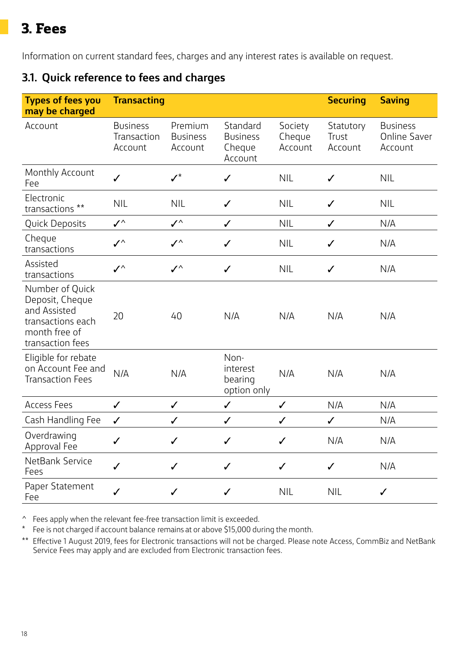# **3. Fees**

Information on current standard fees, charges and any interest rates is available on request.

# **3.1. Quick reference to fees and charges**

| <b>Types of fees you</b><br>may be charged                                                                   | <b>Transacting</b>                        |                                       |                                                  |                              | <b>Securing</b>               | <b>Saving</b>                                     |
|--------------------------------------------------------------------------------------------------------------|-------------------------------------------|---------------------------------------|--------------------------------------------------|------------------------------|-------------------------------|---------------------------------------------------|
| Account                                                                                                      | <b>Business</b><br>Transaction<br>Account | Premium<br><b>Business</b><br>Account | Standard<br><b>Business</b><br>Cheque<br>Account | Society<br>Cheque<br>Account | Statutory<br>Trust<br>Account | <b>Business</b><br><b>Online Saver</b><br>Account |
| Monthly Account<br>Fee                                                                                       | $\checkmark$                              | $\boldsymbol{\mathscr{I}}^{\star}$    | $\checkmark$                                     | <b>NIL</b>                   | ✓                             | <b>NIL</b>                                        |
| Electronic<br>transactions **                                                                                | <b>NIL</b>                                | <b>NIL</b>                            | $\checkmark$                                     | <b>NIL</b>                   | $\checkmark$                  | <b>NIL</b>                                        |
| Quick Deposits                                                                                               | $\checkmark$                              | $\checkmark$                          | $\checkmark$                                     | <b>NIL</b>                   | $\checkmark$                  | N/A                                               |
| Cheque<br>transactions                                                                                       | $\checkmark$                              | $\checkmark$                          | $\checkmark$                                     | <b>NIL</b>                   | $\checkmark$                  | N/A                                               |
| Assisted<br>transactions                                                                                     | $\checkmark$                              | $\checkmark$                          | $\checkmark$                                     | <b>NIL</b>                   | $\checkmark$                  | N/A                                               |
| Number of Quick<br>Deposit, Cheque<br>and Assisted<br>transactions each<br>month free of<br>transaction fees | 20                                        | 40                                    | N/A                                              | N/A                          | N/A                           | N/A                                               |
| Eligible for rebate<br>on Account Fee and<br><b>Transaction Fees</b>                                         | N/A                                       | N/A                                   | Non-<br>interest<br>bearing<br>option only       | N/A                          | N/A                           | N/A                                               |
| <b>Access Fees</b>                                                                                           | $\checkmark$                              | $\checkmark$                          | $\checkmark$                                     | $\checkmark$                 | N/A                           | N/A                                               |
| Cash Handling Fee                                                                                            | $\checkmark$                              | ✓                                     | ✓                                                | ✓                            | ✓                             | N/A                                               |
| Overdrawing<br>Approval Fee                                                                                  | ✓                                         | ✓                                     | ✓                                                | ✓                            | N/A                           | N/A                                               |
| NetBank Service<br>Fees                                                                                      | $\checkmark$                              | $\checkmark$                          | $\checkmark$                                     | $\checkmark$                 | $\checkmark$                  | N/A                                               |
| Paper Statement<br>Fee                                                                                       | $\checkmark$                              | $\checkmark$                          | $\checkmark$                                     | <b>NIL</b>                   | <b>NIL</b>                    | $\checkmark$                                      |

^ Fees apply when the relevant fee-free transaction limit is exceeded.

\* Fee is not charged if account balance remains at or above \$15,000 during the month.

\*\* Effective 1 August 2019, fees for Electronic transactions will not be charged. Please note Access, CommBiz and NetBank Service Fees may apply and are excluded from Electronic transaction fees.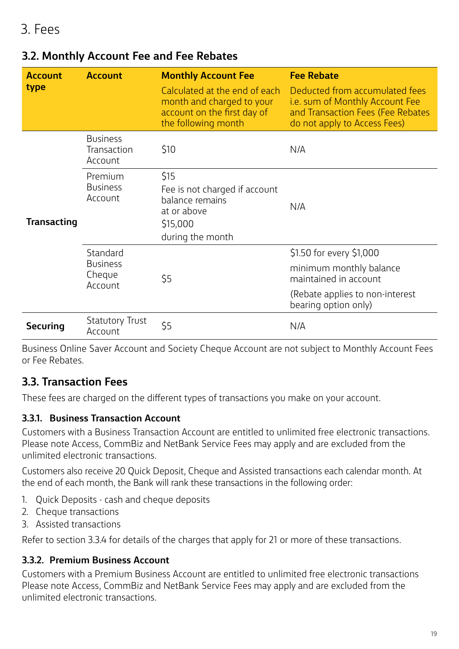| <b>Account</b>     | <b>Monthly Account Fee</b><br><b>Account</b>     |                                                                                                                  | <b>Fee Rebate</b>                                                                                                                       |
|--------------------|--------------------------------------------------|------------------------------------------------------------------------------------------------------------------|-----------------------------------------------------------------------------------------------------------------------------------------|
| type               |                                                  | Calculated at the end of each<br>month and charged to your<br>account on the first day of<br>the following month | Deducted from accumulated fees<br>i.e. sum of Monthly Account Fee<br>and Transaction Fees (Fee Rebates<br>do not apply to Access Fees)  |
|                    | <b>Business</b><br>Transaction<br>Account        | \$10                                                                                                             | N/A                                                                                                                                     |
| <b>Transacting</b> | Premium<br><b>Business</b><br>Account            | \$15<br>Fee is not charged if account<br>balance remains<br>at or above<br>\$15,000<br>during the month          | N/A                                                                                                                                     |
|                    | Standard<br><b>Business</b><br>Cheque<br>Account | \$5                                                                                                              | \$1.50 for every \$1,000<br>minimum monthly balance<br>maintained in account<br>(Rebate applies to non-interest<br>bearing option only) |
| <b>Securing</b>    | <b>Statutory Trust</b><br>Account                | \$5                                                                                                              | N/A                                                                                                                                     |

# **3.2. Monthly Account Fee and Fee Rebates**

Business Online Saver Account and Society Cheque Account are not subject to Monthly Account Fees or Fee Rebates.

# **3.3. Transaction Fees**

These fees are charged on the different types of transactions you make on your account.

#### **3.3.1. Business Transaction Account**

Customers with a Business Transaction Account are entitled to unlimited free electronic transactions. Please note Access, CommBiz and NetBank Service Fees may apply and are excluded from the unlimited electronic transactions.

Customers also receive 20 Quick Deposit, Cheque and Assisted transactions each calendar month. At the end of each month, the Bank will rank these transactions in the following order:

- 1. Quick Deposits cash and cheque deposits
- 2. Cheque transactions
- 3. Assisted transactions

Refer to section 3.3.4 for details of the charges that apply for 21 or more of these transactions.

#### **3.3.2. Premium Business Account**

Customers with a Premium Business Account are entitled to unlimited free electronic transactions Please note Access, CommBiz and NetBank Service Fees may apply and are excluded from the unlimited electronic transactions.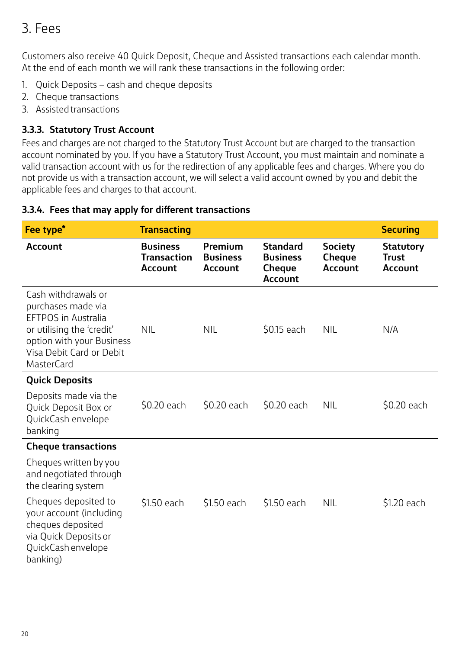# 3. Fees

Customers also receive 40 Quick Deposit, Cheque and Assisted transactions each calendar month. At the end of each month we will rank these transactions in the following order:

- 1. Quick Deposits cash and cheque deposits
- 2. Cheque transactions
- 3. Assisted transactions

#### **3.3.3. Statutory Trust Account**

Fees and charges are not charged to the Statutory Trust Account but are charged to the transaction account nominated by you. If you have a Statutory Trust Account, you must maintain and nominate a valid transaction account with us for the redirection of any applicable fees and charges. Where you do not provide us with a transaction account, we will select a valid account owned by you and debit the applicable fees and charges to that account.

#### **3.3.4. Fees that may apply for different transactions**

| Fee type <sup>*</sup>                                                                                                                                                              | <b>Transacting</b>                                      |                                              |                                                                |                                                   | <b>Securing</b>                                    |
|------------------------------------------------------------------------------------------------------------------------------------------------------------------------------------|---------------------------------------------------------|----------------------------------------------|----------------------------------------------------------------|---------------------------------------------------|----------------------------------------------------|
| <b>Account</b>                                                                                                                                                                     | <b>Business</b><br><b>Transaction</b><br><b>Account</b> | Premium<br><b>Business</b><br><b>Account</b> | <b>Standard</b><br><b>Business</b><br>Cheque<br><b>Account</b> | <b>Society</b><br><b>Cheque</b><br><b>Account</b> | <b>Statutory</b><br><b>Trust</b><br><b>Account</b> |
| Cash withdrawals or<br>purchases made via<br><b>EFTPOS in Australia</b><br>or utilising the 'credit'<br>option with your Business<br>Visa Debit Card or Debit<br><b>MasterCard</b> | <b>NIL</b>                                              | <b>NIL</b>                                   | \$0.15 each                                                    | <b>NIL</b>                                        | N/A                                                |
| <b>Quick Deposits</b>                                                                                                                                                              |                                                         |                                              |                                                                |                                                   |                                                    |
| Deposits made via the<br>Quick Deposit Box or<br>QuickCash envelope<br>banking                                                                                                     | \$0.20 each                                             | \$0.20 each                                  | \$0.20 each                                                    | <b>NIL</b>                                        | \$0.20 each                                        |
| <b>Cheque transactions</b>                                                                                                                                                         |                                                         |                                              |                                                                |                                                   |                                                    |
| Cheques written by you<br>and negotiated through<br>the clearing system                                                                                                            |                                                         |                                              |                                                                |                                                   |                                                    |
| Cheques deposited to<br>your account (including<br>cheques deposited<br>via Quick Deposits or<br>QuickCash envelope<br>banking)                                                    | \$1.50 each                                             | \$1.50 each                                  | \$1.50 each                                                    | <b>NIL</b>                                        | \$1.20 each                                        |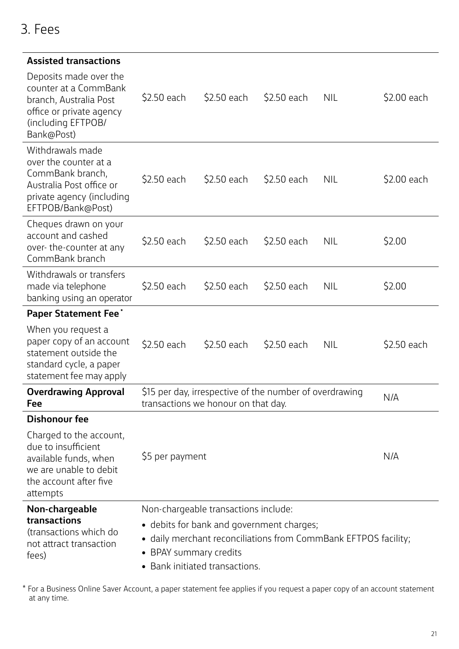| <b>Assisted transactions</b>                                                                                                                |             |                                                                                                |             |            |             |
|---------------------------------------------------------------------------------------------------------------------------------------------|-------------|------------------------------------------------------------------------------------------------|-------------|------------|-------------|
| Deposits made over the<br>counter at a CommBank<br>branch, Australia Post<br>office or private agency<br>(including EFTPOB/<br>Bank@Post)   | \$2.50 each | \$2.50 each                                                                                    | \$2.50 each | <b>NIL</b> | \$2.00 each |
| Withdrawals made<br>over the counter at a<br>CommBank branch,<br>Australia Post office or<br>private agency (including<br>EFTPOB/Bank@Post) | \$2.50 each | \$2.50 each                                                                                    | \$2.50 each | <b>NIL</b> | \$2.00 each |
| Cheques drawn on your<br>account and cashed<br>over-the-counter at any<br>CommBank branch                                                   | \$2.50 each | \$2.50 each                                                                                    | \$2.50 each | <b>NIL</b> | \$2.00      |
| Withdrawals or transfers<br>made via telephone<br>banking using an operator                                                                 | \$2.50 each | \$2.50 each                                                                                    | \$2.50 each | <b>NIL</b> | \$2.00      |
| <b>Paper Statement Fee*</b>                                                                                                                 |             |                                                                                                |             |            |             |
| When you request a<br>paper copy of an account<br>statement outside the<br>standard cycle, a paper<br>statement fee may apply               | \$2.50 each | \$2.50 each                                                                                    | \$2.50 each | <b>NIL</b> | \$2.50 each |
| <b>Overdrawing Approval</b><br>Fee                                                                                                          |             | \$15 per day, irrespective of the number of overdrawing<br>transactions we honour on that day. |             |            | N/A         |

#### **Dishonour fee**

Charged to the account, due to insufficient available funds, when we are unable to debit the account after five attempts \$5 per payment N/A **Non-chargeable transactions**  (transactions which do not attract transaction fees) Non-chargeable transactions include: • debits for bank and government charges; • daily merchant reconciliations from CommBank EFTPOS facility; • BPAY summary credits

• Bank initiated transactions.

\* For a Business Online Saver Account, a paper statement fee applies if you request a paper copy of an account statement at any time.

# 3. Fees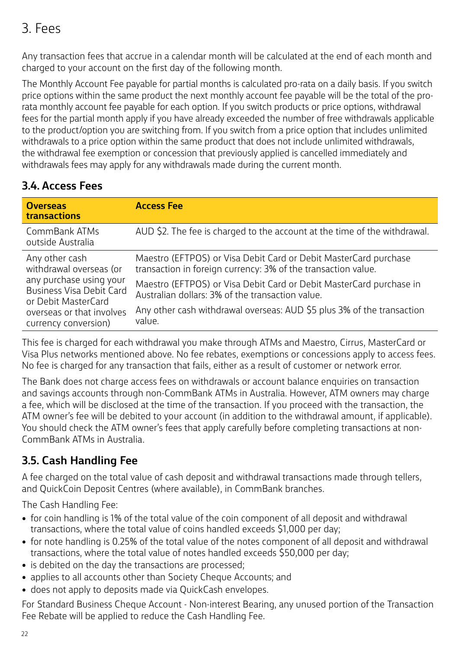# 3. Fees

Any transaction fees that accrue in a calendar month will be calculated at the end of each month and charged to your account on the first day of the following month.

The Monthly Account Fee payable for partial months is calculated pro-rata on a daily basis. If you switch price options within the same product the next monthly account fee payable will be the total of the prorata monthly account fee payable for each option. If you switch products or price options, withdrawal fees for the partial month apply if you have already exceeded the number of free withdrawals applicable to the product/option you are switching from. If you switch from a price option that includes unlimited withdrawals to a price option within the same product that does not include unlimited withdrawals, the withdrawal fee exemption or concession that previously applied is cancelled immediately and withdrawals fees may apply for any withdrawals made during the current month.

# **3.4. Access Fees**

| <b>Overseas</b><br>transactions                                                                                                        | <b>Access Fee</b>                                                                                                                 |
|----------------------------------------------------------------------------------------------------------------------------------------|-----------------------------------------------------------------------------------------------------------------------------------|
| CommBank ATMs<br>outside Australia                                                                                                     | AUD \$2. The fee is charged to the account at the time of the withdrawal.                                                         |
| Any other cash<br>withdrawal overseas (or                                                                                              | Maestro (EFTPOS) or Visa Debit Card or Debit MasterCard purchase<br>transaction in foreign currency: 3% of the transaction value. |
| any purchase using your<br><b>Business Visa Debit Card</b><br>or Debit MasterCard<br>overseas or that involves<br>currency conversion) | Maestro (EFTPOS) or Visa Debit Card or Debit MasterCard purchase in<br>Australian dollars: 3% of the transaction value.           |
|                                                                                                                                        | Any other cash withdrawal overseas: AUD \$5 plus 3% of the transaction<br>value.                                                  |

This fee is charged for each withdrawal you make through ATMs and Maestro, Cirrus, MasterCard or Visa Plus networks mentioned above. No fee rebates, exemptions or concessions apply to access fees. No fee is charged for any transaction that fails, either as a result of customer or network error.

The Bank does not charge access fees on withdrawals or account balance enquiries on transaction and savings accounts through non-CommBank ATMs in Australia. However, ATM owners may charge a fee, which will be disclosed at the time of the transaction. If you proceed with the transaction, the ATM owner's fee will be debited to your account (in addition to the withdrawal amount, if applicable). You should check the ATM owner's fees that apply carefully before completing transactions at non-CommBank ATMs in Australia.

# **3.5. Cash Handling Fee**

A fee charged on the total value of cash deposit and withdrawal transactions made through tellers, and QuickCoin Deposit Centres (where available), in CommBank branches.

The Cash Handling Fee:

- for coin handling is 1% of the total value of the coin component of all deposit and withdrawal transactions, where the total value of coins handled exceeds \$1,000 per day;
- for note handling is 0.25% of the total value of the notes component of all deposit and withdrawal transactions, where the total value of notes handled exceeds \$50,000 per day;
- is debited on the day the transactions are processed;
- applies to all accounts other than Society Cheque Accounts; and
- does not apply to deposits made via QuickCash envelopes.

For Standard Business Cheque Account - Non-interest Bearing, any unused portion of the Transaction Fee Rebate will be applied to reduce the Cash Handling Fee.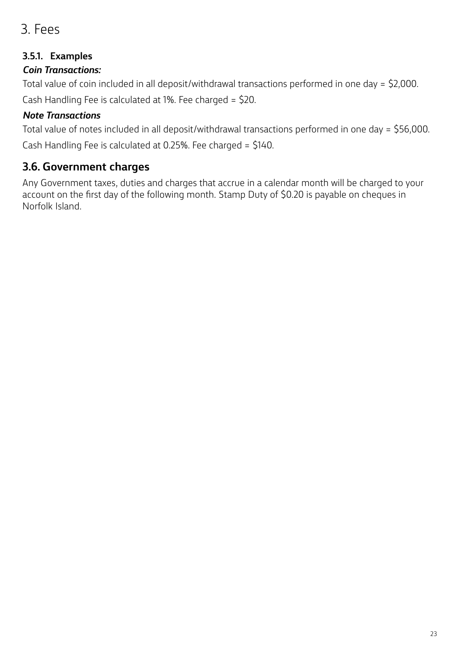# 3. Fees

### **3.5.1. Examples**

### *Coin Transactions:*

Total value of coin included in all deposit/withdrawal transactions performed in one day = \$2,000. Cash Handling Fee is calculated at 1%. Fee charged = \$20.

### *Note Transactions*

Total value of notes included in all deposit/withdrawal transactions performed in one day = \$56,000. Cash Handling Fee is calculated at 0.25%. Fee charged = \$140.

# **3.6. Government charges**

Any Government taxes, duties and charges that accrue in a calendar month will be charged to your account on the first day of the following month. Stamp Duty of \$0.20 is payable on cheques in Norfolk Island.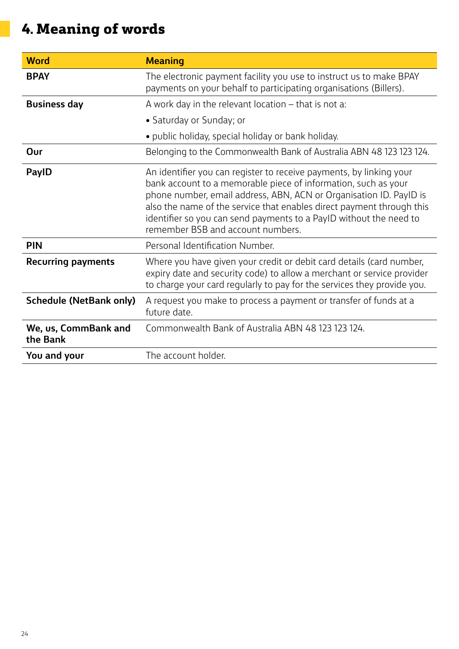# **4. Meaning of words**

| <b>Word</b>                      | <b>Meaning</b>                                                                                                                                                                                                                                                                                                                                                                                  |
|----------------------------------|-------------------------------------------------------------------------------------------------------------------------------------------------------------------------------------------------------------------------------------------------------------------------------------------------------------------------------------------------------------------------------------------------|
| <b>BPAY</b>                      | The electronic payment facility you use to instruct us to make BPAY<br>payments on your behalf to participating organisations (Billers).                                                                                                                                                                                                                                                        |
| <b>Business day</b>              | A work day in the relevant location - that is not a:                                                                                                                                                                                                                                                                                                                                            |
|                                  | • Saturday or Sunday; or                                                                                                                                                                                                                                                                                                                                                                        |
|                                  | • public holiday, special holiday or bank holiday.                                                                                                                                                                                                                                                                                                                                              |
| Our                              | Belonging to the Commonwealth Bank of Australia ABN 48 123 123 124.                                                                                                                                                                                                                                                                                                                             |
| <b>PayID</b>                     | An identifier you can register to receive payments, by linking your<br>bank account to a memorable piece of information, such as your<br>phone number, email address, ABN, ACN or Organisation ID. PayID is<br>also the name of the service that enables direct payment through this<br>identifier so you can send payments to a PayID without the need to<br>remember BSB and account numbers. |
| <b>PIN</b>                       | Personal Identification Number.                                                                                                                                                                                                                                                                                                                                                                 |
| <b>Recurring payments</b>        | Where you have given your credit or debit card details (card number,<br>expiry date and security code) to allow a merchant or service provider<br>to charge your card regularly to pay for the services they provide you.                                                                                                                                                                       |
| <b>Schedule (NetBank only)</b>   | A request you make to process a payment or transfer of funds at a<br>future date.                                                                                                                                                                                                                                                                                                               |
| We, us, CommBank and<br>the Bank | Commonwealth Bank of Australia ABN 48 123 123 124.                                                                                                                                                                                                                                                                                                                                              |
| You and your                     | The account holder.                                                                                                                                                                                                                                                                                                                                                                             |